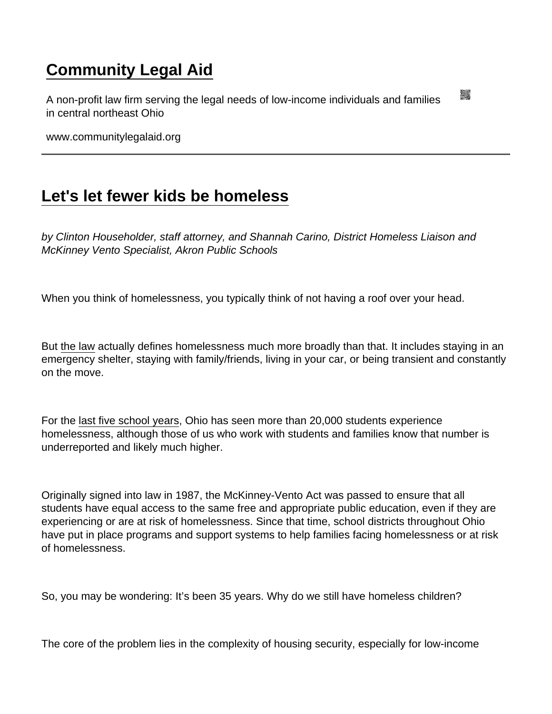## [Community Legal Aid](https://www.communitylegalaid.org/)

A non-profit law firm serving the legal needs of low-income individuals and families in central northeast Ohio

www.communitylegalaid.org

## [Let's let fewer kids be homeless](https://www.communitylegalaid.org/node/1732/lets-let-fewer-kids-be-homeless)

by Clinton Householder, staff attorney, and Shannah Carino, District Homeless Liaison and McKinney Vento Specialist, Akron Public Schools

When you think of homelessness, you typically think of not having a roof over your head.

But [the law](https://education.ohio.gov/Topics/Student-Supports/Homeless-Youth) actually defines homelessness much more broadly than that. It includes staying in an emergency shelter, staying with family/friends, living in your car, or being transient and constantly on the move.

For the [last five school years,](https://reports.education.ohio.gov/report/report-card-data-state-enrollment-by-student-demographic) Ohio has seen more than 20,000 students experience homelessness, although those of us who work with students and families know that number is underreported and likely much higher.

Originally signed into law in 1987, the McKinney-Vento Act was passed to ensure that all students have equal access to the same free and appropriate public education, even if they are experiencing or are at risk of homelessness. Since that time, school districts throughout Ohio have put in place programs and support systems to help families facing homelessness or at risk of homelessness.

So, you may be wondering: It's been 35 years. Why do we still have homeless children?

The core of the problem lies in the complexity of housing security, especially for low-income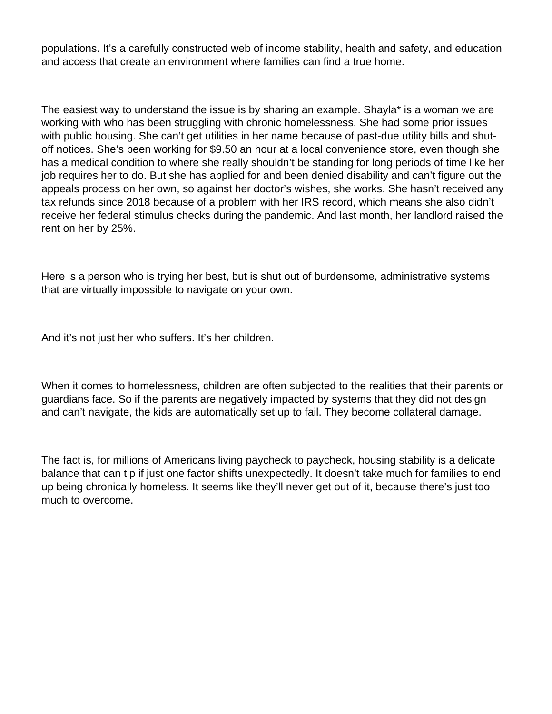populations. It's a carefully constructed web of income stability, health and safety, and education and access that create an environment where families can find a true home.

The easiest way to understand the issue is by sharing an example. Shayla\* is a woman we are working with who has been struggling with chronic homelessness. She had some prior issues with public housing. She can't get utilities in her name because of past-due utility bills and shutoff notices. She's been working for \$9.50 an hour at a local convenience store, even though she has a medical condition to where she really shouldn't be standing for long periods of time like her job requires her to do. But she has applied for and been denied disability and can't figure out the appeals process on her own, so against her doctor's wishes, she works. She hasn't received any tax refunds since 2018 because of a problem with her IRS record, which means she also didn't receive her federal stimulus checks during the pandemic. And last month, her landlord raised the rent on her by 25%.

Here is a person who is trying her best, but is shut out of burdensome, administrative systems that are virtually impossible to navigate on your own.

And it's not just her who suffers. It's her children.

When it comes to homelessness, children are often subjected to the realities that their parents or guardians face. So if the parents are negatively impacted by systems that they did not design and can't navigate, the kids are automatically set up to fail. They become collateral damage.

The fact is, for millions of Americans living paycheck to paycheck, housing stability is a delicate balance that can tip if just one factor shifts unexpectedly. It doesn't take much for families to end up being chronically homeless. It seems like they'll never get out of it, because there's just too much to overcome.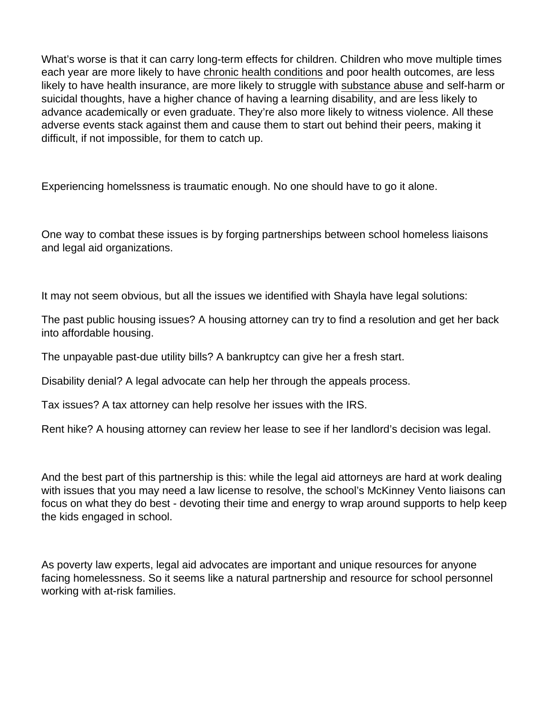What's worse is that it can carry long-term effects for children. Children who move multiple times each year are more likely to have [chronic health conditions](https://www.healthypeople.gov/2020/topics-objectives/topic/social-determinants-health/interventions-resources/housing-instability#:~:text=Housing instability may impact some,negative health outcomes in children.&text=Children who move frequently are,conditions and poor physical health.) and poor health outcomes, are less likely to have health insurance, are more likely to struggle with [substance abuse](https://www.samhsa.gov/homelessness-programs-resources/hpr-resources/youth) and self-harm or suicidal thoughts, have a higher chance of having a learning disability, and are less likely to advance academically or even graduate. They're also more likely to witness violence. All these adverse events stack against them and cause them to start out behind their peers, making it difficult, if not impossible, for them to catch up.

Experiencing homelssness is traumatic enough. No one should have to go it alone.

One way to combat these issues is by forging partnerships between school homeless liaisons and legal aid organizations.

It may not seem obvious, but all the issues we identified with Shayla have legal solutions:

The past public housing issues? A housing attorney can try to find a resolution and get her back into affordable housing.

The unpayable past-due utility bills? A bankruptcy can give her a fresh start.

Disability denial? A legal advocate can help her through the appeals process.

Tax issues? A tax attorney can help resolve her issues with the IRS.

Rent hike? A housing attorney can review her lease to see if her landlord's decision was legal.

And the best part of this partnership is this: while the legal aid attorneys are hard at work dealing with issues that you may need a law license to resolve, the school's McKinney Vento liaisons can focus on what they do best - devoting their time and energy to wrap around supports to help keep the kids engaged in school.

As poverty law experts, legal aid advocates are important and unique resources for anyone facing homelessness. So it seems like a natural partnership and resource for school personnel working with at-risk families.